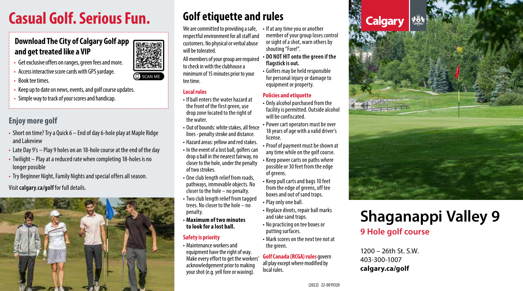## **Casual Golf. Serious Fun.**

### **Download The City of Calgary Golf app and get treated like a VIP**

- Get exclusive offers on ranges, green fees and more.
- Access interactive score cards with GPS yardage.
- Book tee times.
- Keep up to date on news, events, and golf course updates.
- Simple way to track of your scores and handicap.

### **Enjoy more golf**

- Short on time? Try a Quick 6 End of day 6-hole play at Maple Ridge and Lakeview
- Late Day 9's Play 9 holes on an 18-hole course at the end of the day
- Twilight Play at a reduced rate when completing 18-holes is no longer possible
- Try Beginner Night, Family Nights and special offers all season. Visit **calgary.ca/golf** for full details.



### **Golf etiquette and rules**

We are committed to providing a safe, respectful environment for all staff and customers. No physical or verbal abuse will be tolerated.

All members of your group are required to check in with the clubhouse a minimum of 15 minutes prior to your tee time.

#### **Local rules**

- If ball enters the water hazard at the front of the first green, use drop zone located to the right of the water.
- Out of bounds: white stakes, all fence lines - penalty stroke and distance.
- Hazard areas: yellow and red stakes.
- In the event of a lost ball, golfers can drop a ball in the nearest fairway, no closer to the hole, under the penalty of two strokes.
- One club length relief from roads, pathways, immovable objects. No closer to the hole – no penalty.
- Two club length relief from tagged trees. No closer to the hole – no penalty.
- **Maximum of two minutes to look for a lost ball.**

#### **Safety is priority**

• Maintenance workers and equipment have the right of way. Make every effort to get the workers' acknowledgement prior to making your shot (e.g. yell fore or waving).

- If at any time you or another member of your group loses control or sight of a shot, warn others by shouting "Fore!".
- **DO NOT HIT onto the green if the flagstick is out.**
- Golfers may be held responsible for personal injury or damage to equipment or property.

#### **Policies and etiquette**

- Only alcohol purchased from the facility is permitted. Outside alcohol will be confiscated.
- Power cart operators must be over 18 years of age with a valid driver's license.
- Proof of payment must be shown at any time while on the golf course.
- Keep power carts on paths where possible or 30 feet from the edge of greens.
- Keep pull carts and bags 10 feet from the edge of greens, off tee boxes and out of sand traps.
- Play only one ball.
- Replace divots, repair ball marks and rake sand traps.
- No practicing on tee boxes or putting surfaces.
- Mark scores on the next tee not at the green.

**Golf Canada (RCGA) rules** govern all play except where modified by local rules.



### **Shaganappi Valley 9 9 Hole golf course**

1200 – 26th St. S.W. 403-300-1007 **calgary.ca/golf**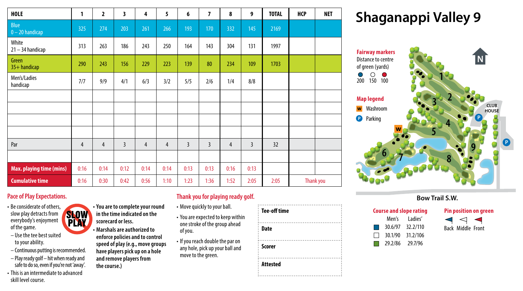| <b>HOLE</b>                 | 1    | $\overline{\mathbf{c}}$ | 3    | 4              | 5              | 6    | 7    | 8    | 9    | <b>TOTAL</b> | <b>HCP</b> | <b>NET</b> |
|-----------------------------|------|-------------------------|------|----------------|----------------|------|------|------|------|--------------|------------|------------|
| Blue<br>$0 - 20$ handicap   | 325  | 274                     | 203  | 261            | 266            | 193  | 170  | 332  | 145  | 2169         |            |            |
| White<br>$21 - 34$ handicap | 313  | 263                     | 186  | 243            | 250            | 164  | 143  | 304  | 131  | 1997         |            |            |
| Green<br>35+ handicap       | 290  | 243                     | 156  | 229            | 223            | 139  | 80   | 234  | 109  | 1703         |            |            |
| Men's/Ladies<br>handicap    | 7/7  | 9/9                     | 4/1  | 6/3            | 3/2            | 5/5  | 2/6  | 1/4  | 8/8  |              |            |            |
|                             |      |                         |      |                |                |      |      |      |      |              |            |            |
|                             |      |                         |      |                |                |      |      |      |      |              |            |            |
|                             |      |                         |      |                |                |      |      |      |      |              |            |            |
|                             |      |                         |      |                |                |      |      |      |      |              |            |            |
| Par                         | 4    | $\overline{4}$          | 3    | $\overline{4}$ | $\overline{4}$ | 3    | 3    | 4    | 3    | 32           |            |            |
|                             |      |                         |      |                |                |      |      |      |      |              |            |            |
| Max. playing time (mins)    | 0:16 | 0:14                    | 0:12 | 0:14           | 0:14           | 0:13 | 0:13 | 0:16 | 0:13 |              |            |            |
| <b>Cumulative time</b>      | 0:16 | 0:30                    | 0:42 | 0:56           | 1:10           | 1:23 | 1:36 | 1:52 | 2:05 | 2:05         |            | Thank you  |

### **Shaganappi Valley 9**



- Be considerate of others, slow play detracts from everybody's enjoyment of the game.
- Use the tee best suited to your ability.
- Continuous putting is recommended.

**PIX** 

- Play ready golf hit when ready and safe to do so, even if you're not 'away'.
- This is an intermediate to advanced skill level course.
- **You are to complete your round SLOW in the time indicated on the scorecard or less.**
	- **Marshals are authorized to enforce policies and to control speed of play (e.g., move groups have players pick up on a hole and remove players from the course.)**

### **Pace of Play Expectations. Thank you for playing ready golf.**

- Move quickly to your ball.
- You are expected to keep within one stroke of the group ahead of you.
- If you reach double the par on any hole, pick up your ball and move to the green.

| <b>Tee-off time</b> |  |  |
|---------------------|--|--|
| <b>Date</b>         |  |  |
| <b>Scorer</b>       |  |  |
| <b>Attested</b>     |  |  |

### **Bow Trail S.W.**



**Pin position on green** ◁

Back Middle Front